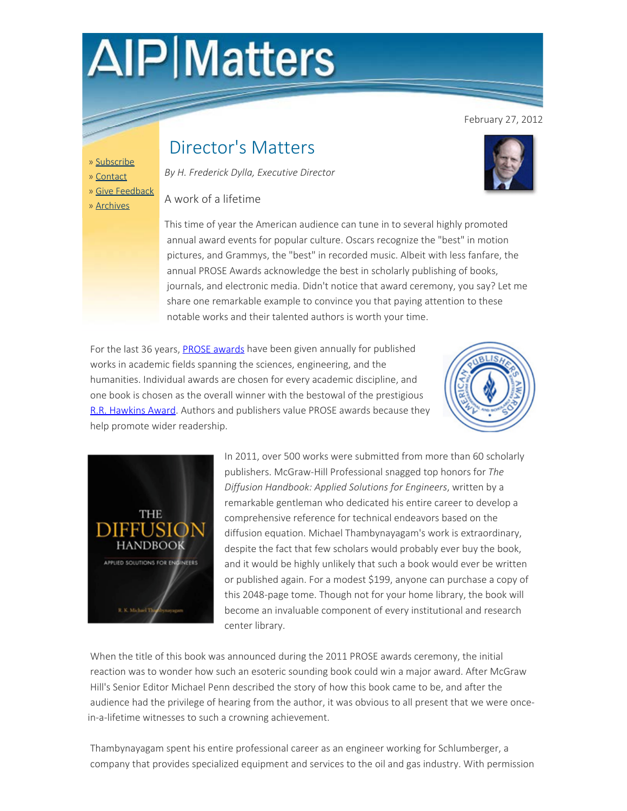# **AIP Matters**

February 27, 2012

» [Subscribe](http://www.aip.org/aip/aipmatters/subscribe.jsp)

- » [Contact](mailto:lcaron@aip.org)
- » [Give Feedback](mailto:aipmatters@aip.org)

#### » [Archives](http://www.aip.org/aip/aipmatters/)

# Director's Matters

*By H. Frederick Dylla, Executive Director*

A work of a lifetime

This time of year the American audience can tune in to several highly promoted annual award events for popular culture. Oscars recognize the "best" in motion pictures, and Grammys, the "best" in recorded music. Albeit with less fanfare, the annual PROSE Awards acknowledge the best in scholarly publishing of books, journals, and electronic media. Didn't notice that award ceremony, you say? Let me share one remarkable example to convince you that paying attention to these notable works and their talented authors is worth your time.

For the last 36 years, **PROSE awards** have been given annually for published works in academic fields spanning the sciences, engineering, and the humanities. Individual awards are chosen for every academic discipline, and one book is chosen as the overall winner with the bestowal of the prestigious [R.R. Hawkins Award](http://www.proseawards.com/current-winners.html). Authors and publishers value PROSE awards because they help promote wider readership.





 In 2011, over 500 works were submitted from more than 60 scholarly publishers. McGraw-Hill Professional snagged top honors for *The Diffusion Handbook: Applied Solutions for Engineers*, written by a remarkable gentleman who dedicated his entire career to develop a comprehensive reference for technical endeavors based on the diffusion equation. Michael Thambynayagam's work is extraordinary, despite the fact that few scholars would probably ever buy the book, and it would be highly unlikely that such a book would ever be written or published again. For a modest \$199, anyone can purchase a copy of this 2048-page tome. Though not for your home library, the book will become an invaluable component of every institutional and research center library.

When the title of this book was announced during the 2011 PROSE awards ceremony, the initial reaction was to wonder how such an esoteric sounding book could win a major award. After McGraw Hill's Senior Editor Michael Penn described the story of how this book came to be, and after the audience had the privilege of hearing from the author, it was obvious to all present that we were oncein-a-lifetime witnesses to such a crowning achievement.

Thambynayagam spent his entire professional career as an engineer working for Schlumberger, a company that provides specialized equipment and services to the oil and gas industry. With permission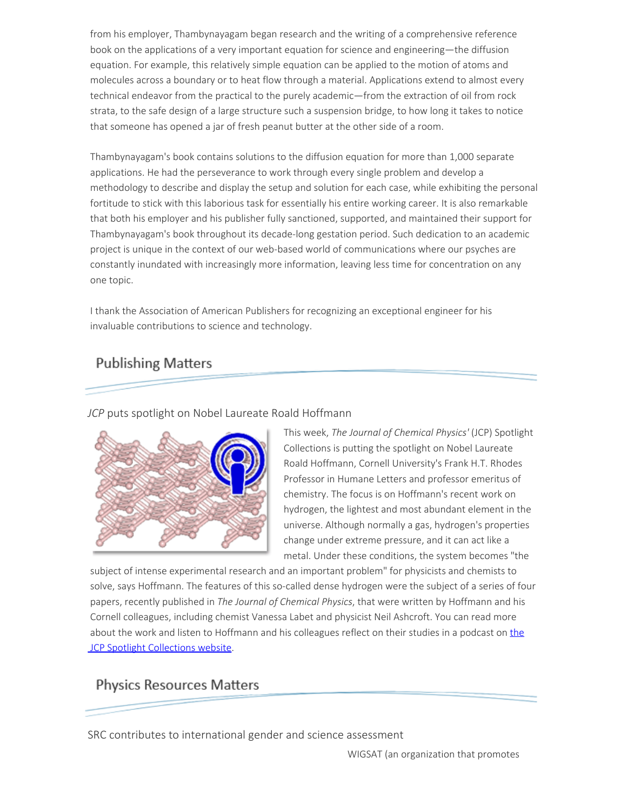from his employer, Thambynayagam began research and the writing of a comprehensive reference book on the applications of a very important equation for science and engineering—the diffusion equation. For example, this relatively simple equation can be applied to the motion of atoms and molecules across a boundary or to heat flow through a material. Applications extend to almost every technical endeavor from the practical to the purely academic—from the extraction of oil from rock strata, to the safe design of a large structure such a suspension bridge, to how long it takes to notice that someone has opened a jar of fresh peanut butter at the other side of a room.

Thambynayagam's book contains solutions to the diffusion equation for more than 1,000 separate applications. He had the perseverance to work through every single problem and develop a methodology to describe and display the setup and solution for each case, while exhibiting the personal fortitude to stick with this laborious task for essentially his entire working career. It is also remarkable that both his employer and his publisher fully sanctioned, supported, and maintained their support for Thambynayagam's book throughout its decade-long gestation period. Such dedication to an academic project is unique in the context of our web-based world of communications where our psyches are constantly inundated with increasingly more information, leaving less time for concentration on any one topic.

I thank the Association of American Publishers for recognizing an exceptional engineer for his invaluable contributions to science and technology.

### **Publishing Matters**

*JCP* puts spotlight on Nobel Laureate Roald Hoffmann



 This week, *The Journal of Chemical Physics'* (JCP) Spotlight Collections is putting the spotlight on Nobel Laureate Roald Hoffmann, Cornell University's Frank H.T. Rhodes Professor in Humane Letters and professor emeritus of chemistry. The focus is on Hoffmann's recent work on hydrogen, the lightest and most abundant element in the universe. Although normally a gas, hydrogen's properties change under extreme pressure, and it can act like a metal. Under these conditions, the system becomes "the

 subject of intense experimental research and an important problem" for physicists and chemists to solve, says Hoffmann. The features of this so-called dense hydrogen were the subject of a series of four papers, recently published in *The Journal of Chemical Physics*, that were written by Hoffmann and his Cornell colleagues, including chemist Vanessa Labet and physicist Neil Ashcroft. You can read more about [the](http://jcp.aip.org/nobel_laureate_roald_hoffmann) work and listen to Hoffmann and his colleagues reflect on their studies in a podcast on the JCP Spotlight Collections website.

#### **Physics Resources Matters**

SRC contributes to international gender and science assessment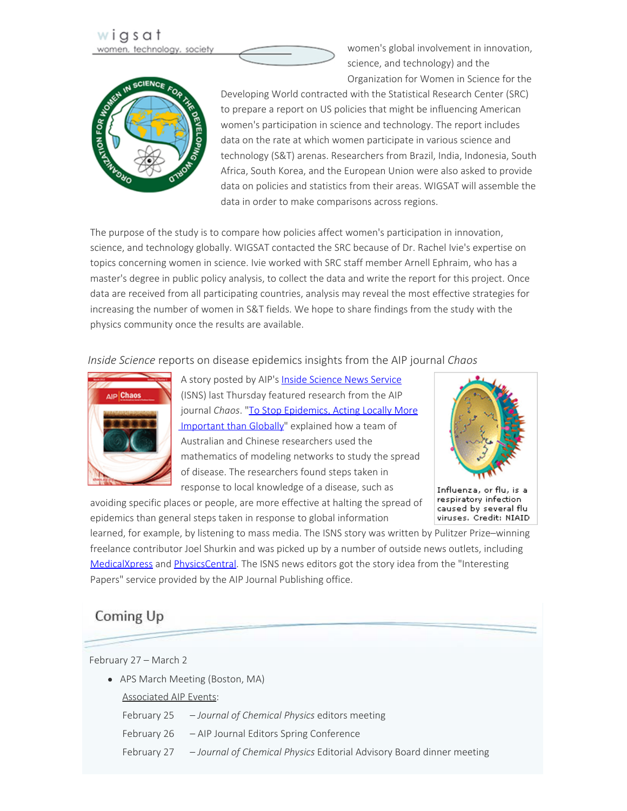wigsat women, technology, society



 women's global involvement in innovation, science, and technology) and the Organization for Women in Science for the

 Developing World contracted with the Statistical Research Center (SRC) to prepare a report on US policies that might be influencing American women's participation in science and technology. The report includes data on the rate at which women participate in various science and technology (S&T) arenas. Researchers from Brazil, India, Indonesia, South Africa, South Korea, and the European Union were also asked to provide data on policies and statistics from their areas. WIGSAT will assemble the data in order to make comparisons across regions.

The purpose of the study is to compare how policies affect women's participation in innovation, science, and technology globally. WIGSAT contacted the SRC because of Dr. Rachel Ivie's expertise on topics concerning women in science. Ivie worked with SRC staff member Arnell Ephraim, who has a master's degree in public policy analysis, to collect the data and write the report for this project. Once data are received from all participating countries, analysis may reveal the most effective strategies for increasing the number of women in S&T fields. We hope to share findings from the study with the physics community once the results are available.

*Inside Science* reports on disease epidemics insights from the AIP journal *Chaos*



A story posted by AIP's [Inside Science News Service](http://www.insidescience.org/) (ISNS) last Thursday featured research from the AIP journal *Chaos*. ["To Stop Epidemics, Acting Locally More](http://www.insidescience.org/news-service/1-2501)  [Important than Globally](http://www.insidescience.org/news-service/1-2501)" explained how a team of Australian and Chinese researchers used the mathematics of modeling networks to study the spread of disease. The researchers found steps taken in response to local knowledge of a disease, such as

Influenza, or flu, is a respiratory infection caused by several flu viruses. Credit: NIAID

 epidemics than general steps taken in response to global information learned, for example, by listening to mass media. The ISNS story was written by Pulitzer Prize–winning

avoiding specific places or people, are more effective at halting the spread of

 freelance contributor Joel Shurkin and was picked up by a number of outside news outlets, including [MedicalXpress](http://medicalxpress.com/) and [PhysicsCentral.](http://physicscentral.com/) The ISNS news editors got the story idea from the "Interesting Papers" service provided by the AIP Journal Publishing office.

## Coming Up

February 27 – March 2

• APS March Meeting (Boston, MA)

Associated AIP Events:

- February 25 *Journal of Chemical Physics* editors meeting
- February 26 AIP Journal Editors Spring Conference
- February 27 *Journal of Chemical Physics* Editorial Advisory Board dinner meeting